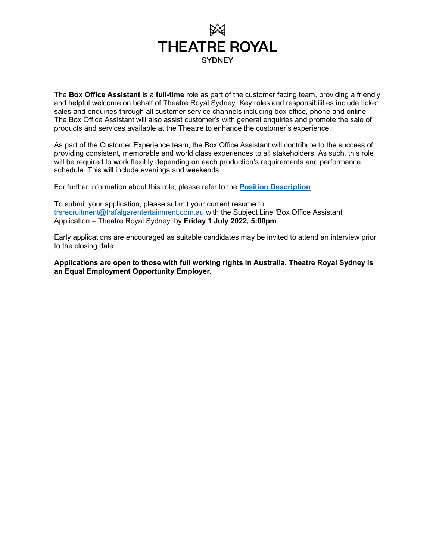

The **Box Office Assistant** is a **full-time** role as part of the customer facing team, providing a friendly and helpful welcome on behalf of Theatre Royal Sydney. Key roles and responsibilities include ticket sales and enquiries through all customer service channels including box office, phone and online. The Box Office Assistant will also assist customer's with general enquiries and promote the sale of products and services available at the Theatre to enhance the customer's experience.

As part of the Customer Experience team, the Box Office Assistant will contribute to the success of providing consistent, memorable and world class experiences to all stakeholders. As such, this role will be required to work flexibly depending on each production's requirements and performance schedule. This will include evenings and weekends.

For further information about this role, please refer to the **Position Description**.

To submit your application, please submit your current resume to trsrecruitment@trafalgarentertainment.com.au with the Subject Line 'Box Office Assistant Application – Theatre Royal Sydney' by Friday 1 July 2022, 5:00pm.

Early applications are encouraged as suitable candidates may be invited to attend an interview prior to the closing date.

Applications are open to those with full working rights in Australia. Theatre Royal Sydney is an Equal Employment Opportunity Employer.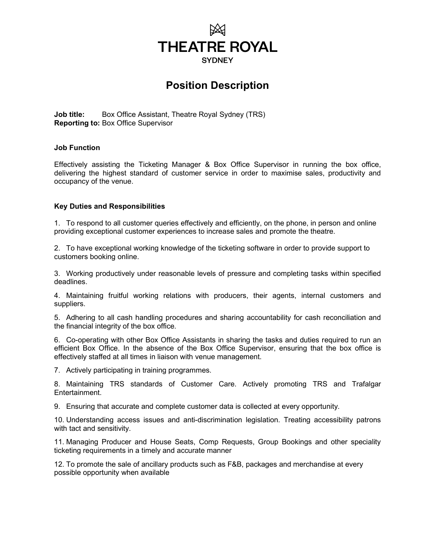

# Position Description

Job title: Box Office Assistant, Theatre Royal Sydney (TRS) Reporting to: Box Office Supervisor

#### Job Function

Effectively assisting the Ticketing Manager & Box Office Supervisor in running the box office, delivering the highest standard of customer service in order to maximise sales, productivity and occupancy of the venue.

#### Key Duties and Responsibilities

1. To respond to all customer queries effectively and efficiently, on the phone, in person and online providing exceptional customer experiences to increase sales and promote the theatre.

2. To have exceptional working knowledge of the ticketing software in order to provide support to customers booking online.

3. Working productively under reasonable levels of pressure and completing tasks within specified deadlines.

4. Maintaining fruitful working relations with producers, their agents, internal customers and suppliers.

5. Adhering to all cash handling procedures and sharing accountability for cash reconciliation and the financial integrity of the box office.

6. Co-operating with other Box Office Assistants in sharing the tasks and duties required to run an efficient Box Office. In the absence of the Box Office Supervisor, ensuring that the box office is effectively staffed at all times in liaison with venue management.

7. Actively participating in training programmes.

8. Maintaining TRS standards of Customer Care. Actively promoting TRS and Trafalgar Entertainment.

9. Ensuring that accurate and complete customer data is collected at every opportunity.

10. Understanding access issues and anti-discrimination legislation. Treating accessibility patrons with tact and sensitivity.

11. Managing Producer and House Seats, Comp Requests, Group Bookings and other speciality ticketing requirements in a timely and accurate manner

12. To promote the sale of ancillary products such as F&B, packages and merchandise at every possible opportunity when available